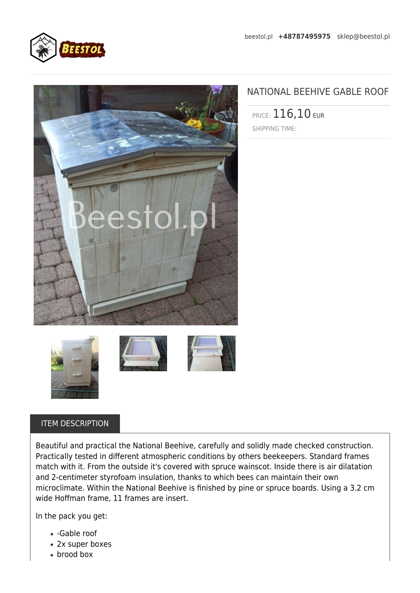



## NATIONAL BEEHIVE GABLE ROOF

PRICE: 116,10 EUR SHIPPING TIME:







## ITEM DESCRIPTION

Beautiful and practical the National Beehive, carefully and solidly made checked construction. Practically tested in different atmospheric conditions by others beekeepers. Standard frames match with it. From the outside it's covered with spruce wainscot. Inside there is air dilatation and 2-centimeter styrofoam insulation, thanks to which bees can maintain their own microclimate. Within the National Beehive is finished by pine or spruce boards. Using a 3.2 cm wide Hoffman frame, 11 frames are insert.

In the pack you get:

- -Gable roof
- 2x super boxes
- brood box